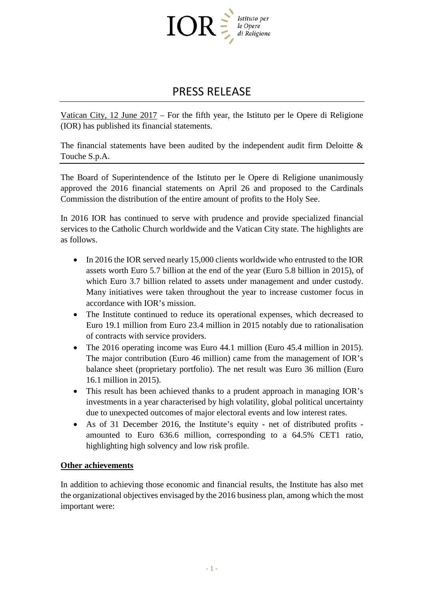

## PRESS RELEASE

Vatican City, 12 June 2017 – For the fifth year, the Istituto per le Opere di Religione (IOR) has published its financial statements.

The financial statements have been audited by the independent audit firm Deloitte  $\&$ Touche S.p.A.

The Board of Superintendence of the Istituto per le Opere di Religione unanimously approved the 2016 financial statements on April 26 and proposed to the Cardinals Commission the distribution of the entire amount of profits to the Holy See.

In 2016 IOR has continued to serve with prudence and provide specialized financial services to the Catholic Church worldwide and the Vatican City state. The highlights are as follows.

- In 2016 the IOR served nearly 15,000 clients worldwide who entrusted to the IOR assets worth Euro 5.7 billion at the end of the year (Euro 5.8 billion in 2015), of which Euro 3.7 billion related to assets under management and under custody. Many initiatives were taken throughout the year to increase customer focus in accordance with IOR's mission.
- The Institute continued to reduce its operational expenses, which decreased to Euro 19.1 million from Euro 23.4 million in 2015 notably due to rationalisation of contracts with service providers.
- The 2016 operating income was Euro 44.1 million (Euro 45.4 million in 2015). The major contribution (Euro 46 million) came from the management of IOR's balance sheet (proprietary portfolio). The net result was Euro 36 million (Euro 16.1 million in 2015).
- This result has been achieved thanks to a prudent approach in managing IOR's investments in a year characterised by high volatility, global political uncertainty due to unexpected outcomes of major electoral events and low interest rates.
- As of 31 December 2016, the Institute's equity net of distributed profits amounted to Euro 636.6 million, corresponding to a 64.5% CET1 ratio, highlighting high solvency and low risk profile.

## **Other achievements**

In addition to achieving those economic and financial results, the Institute has also met the organizational objectives envisaged by the 2016 business plan, among which the most important were: